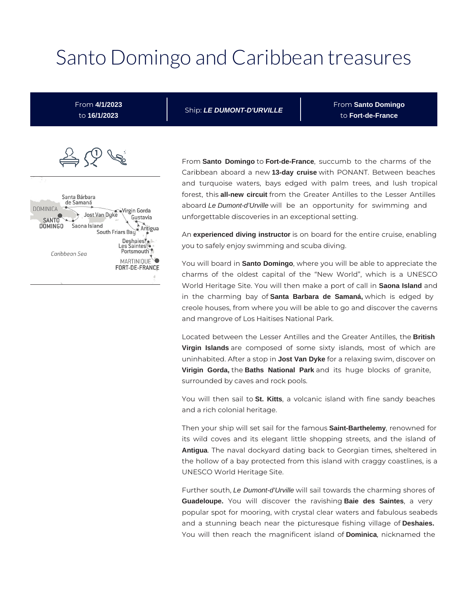# Santo Domingo and Caribbean treasures

From **4/1/2023** to **16/1/2023**

Ship: **LE DUMONT-D'URVILLE**

From **Santo Domingo** to **Fort-de-France**



From **Santo Domingo** to **Fort-de-France**, succumb to the charms of the Caribbean aboard a new **13-day cruise** with PONANT. Between beaches and turquoise waters, bays edged with palm trees, and lush tropical forest, this **all-new circuit** from the Greater Antilles to the Lesser Antilles aboard Le Dumont-d'Urville will be an opportunity for swimming and unforgettable discoveries in an exceptional setting.

An **experienced diving instructor** is on board for the entire cruise, enabling you to safely enjoy swimming and scuba diving.

You will board in **Santo Domingo**, where you will be able to appreciate the charms of the oldest capital of the "New World", which is a UNESCO World Heritage Site. You will then make a port of call in **Saona Island** and in the charming bay of **Santa Barbara de Samaná,** which is edged by creole houses, from where you will be able to go and discover the caverns and mangrove of Los Haitises National Park.

Located between the Lesser Antilles and the Greater Antilles, the **British Virgin Islands** are composed of some sixty islands, most of which are uninhabited. After a stop in **Jost Van Dyke** for a relaxing swim, discover on **Virigin Gorda,** the **Baths National Park** and its huge blocks of granite, surrounded by caves and rock pools.

You will then sail to **St. Kitts**, a volcanic island with fine sandy beaches and a rich colonial heritage.

Then your ship will set sail for the famous **Saint-Barthelemy**, renowned for its wild coves and its elegant little shopping streets, and the island of **Antigua**. The naval dockyard dating back to Georgian times, sheltered in the hollow of a bay protected from this island with craggy coastlines, is a UNESCO World Heritage Site.

Further south, Le Dumont-d'Urville will sail towards the charming shores of **Guadeloupe.** You will discover the ravishing **Baie des Saintes**, a very popular spot for mooring, with crystal clear waters and fabulous seabeds and a stunning beach near the picturesque fishing village of **Deshaies.**  You will then reach the magnificent island of **Dominica**, nicknamed the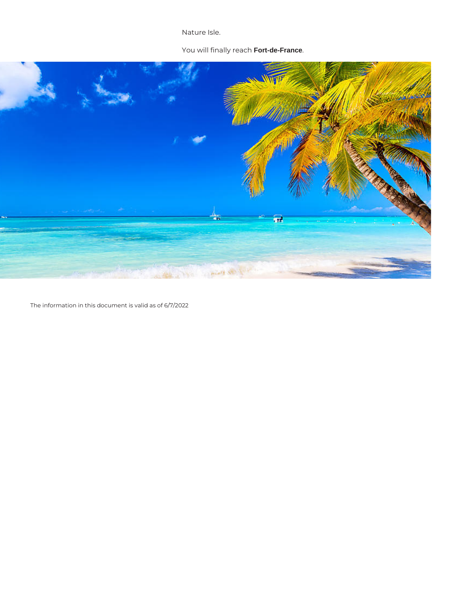Nature Isle.

### You will finally reach **Fort-de-France**.



The information in this document is valid as of 6/7/2022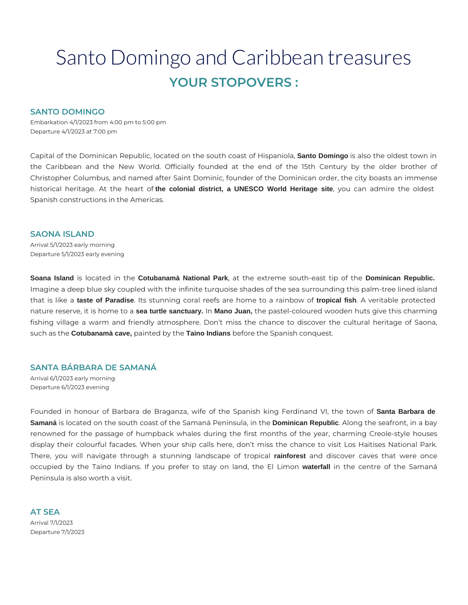# Santo Domingo and Caribbean treasures **YOUR STOPOVERS :**

#### **SANTO DOMINGO**

Embarkation 4/1/2023 from 4:00 pm to 5:00 pm Departure 4/1/2023 at 7:00 pm

Capital of the Dominican Republic, located on the south coast of Hispaniola, **Santo Domingo** is also the oldest town in the Caribbean and the New World. Officially founded at the end of the 15th Century by the older brother of Christopher Columbus, and named after Saint Dominic, founder of the Dominican order, the city boasts an immense historical heritage. At the heart of **the colonial district, a UNESCO World Heritage site**, you can admire the oldest Spanish constructions in the Americas.

#### **SAONA ISLAND**

Arrival 5/1/2023 early morning Departure 5/1/2023 early evening

**Soana Island** is located in the **Cotubanamà National Park**, at the extreme south-east tip of the **Dominican Republic.** Imagine a deep blue sky coupled with the infinite turquoise shades of the sea surrounding this palm-tree lined island that is like a **taste of Paradise**. Its stunning coral reefs are home to a rainbow of **tropical fish**. A veritable protected nature reserve, it is home to a **sea turtle sanctuary.** In **Mano Juan,** the pastel-coloured wooden huts give this charming fishing village a warm and friendly atmosphere. Don't miss the chance to discover the cultural heritage of Saona, such as the **Cotubanamà cave,** painted by the **Taino Indians** before the Spanish conquest.

#### **SANTA BÁRBARA DE SAMANÁ**

Arrival 6/1/2023 early morning Departure 6/1/2023 evening

Founded in honour of Barbara de Braganza, wife of the Spanish king Ferdinand VI, the town of **Santa Barbara de Samaná** is located on the south coast of the Samaná Peninsula, in the **Dominican Republic**. Along the seafront, in a bay renowned for the passage of humpback whales during the first months of the year, charming Creole-style houses display their colourful facades. When your ship calls here, don't miss the chance to visit Los Haitises National Park. There, you will navigate through a stunning landscape of tropical **rainforest** and discover caves that were once occupied by the Taino Indians. If you prefer to stay on land, the El Limon **waterfall** in the centre of the Samaná Peninsula is also worth a visit.

**AT SEA**  Arrival 7/1/2023 Departure 7/1/2023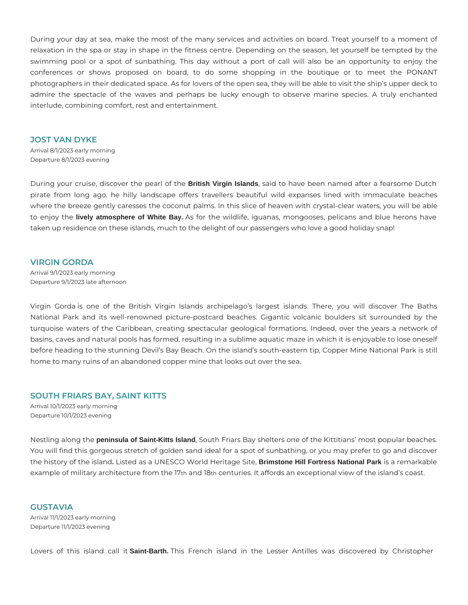During your day at sea, make the most of the many services and activities on board. Treat yourself to a moment of relaxation in the spa or stay in shape in the fitness centre. Depending on the season, let yourself be tempted by the swimming pool or a spot of sunbathing. This day without a port of call will also be an opportunity to enjoy the conferences or shows proposed on board, to do some shopping in the boutique or to meet the PONANT photographers in their dedicated space. As for lovers of the open sea, they will be able to visit the ship's upper deck to admire the spectacle of the waves and perhaps be lucky enough to observe marine species. A truly enchanted interlude, combining comfort, rest and entertainment.

#### **JOST VAN DYKE**

Arrival 8/1/2023 early morning Departure 8/1/2023 evening

During your cruise, discover the pearl of the **British Virgin Islands**, said to have been named after a fearsome Dutch pirate from long ago. he hilly landscape offers travellers beautiful wild expanses lined with immaculate beaches where the breeze gently caresses the coconut palms. In this slice of heaven with crystal-clear waters, you will be able to enjoy the **lively atmosphere of White Bay.** As for the wildlife, iguanas, mongooses, pelicans and blue herons have taken up residence on these islands, much to the delight of our passengers who love a good holiday snap!

#### **VIRGIN GORDA**

Arrival 9/1/2023 early morning Departure 9/1/2023 late afternoon

Virgin Gorda is one of the British Virgin Islands archipelago's largest islands. There, you will discover The Baths National Park and its well-renowned picture-postcard beaches. Gigantic volcanic boulders sit surrounded by the turquoise waters of the Caribbean, creating spectacular geological formations. Indeed, over the years a network of basins, caves and natural pools has formed, resulting in a sublime aquatic maze in which it is enjoyable to lose oneself before heading to the stunning Devil's Bay Beach. On the island's south-eastern tip, Copper Mine National Park is still home to many ruins of an abandoned copper mine that looks out over the sea.

#### **SOUTH FRIARS BAY, SAINT KITTS**

Arrival 10/1/2023 early morning Departure 10/1/2023 evening

Nestling along the **peninsula of Saint-Kitts Island**, South Friars Bay shelters one of the Kittitians' most popular beaches. You will find this gorgeous stretch of golden sand ideal for a spot of sunbathing, or you may prefer to go and discover the history of the island**.** Listed as a UNESCO World Heritage Site, **Brimstone Hill Fortress National Park** is a remarkable example of military architecture from the 17th and 18th centuries. It affords an exceptional view of the island's coast.

#### **GUSTAVIA**

Arrival 11/1/2023 early morning Departure 11/1/2023 evening

Lovers of this island call it **Saint-Barth.** This French island in the Lesser Antilles was discovered by Christopher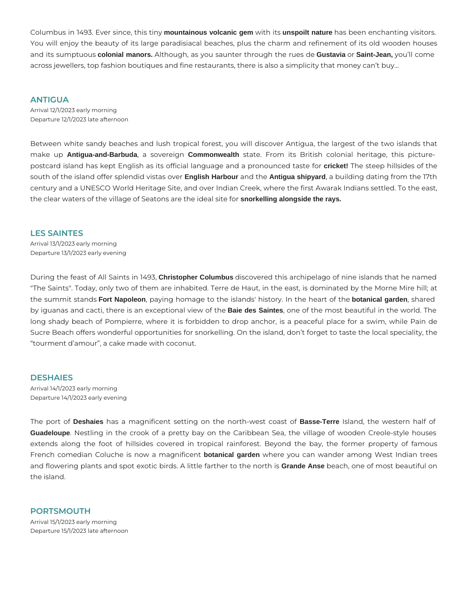Columbus in 1493. Ever since, this tiny **mountainous volcanic gem** with its **unspoilt nature** has been enchanting visitors. You will enjoy the beauty of its large paradisiacal beaches, plus the charm and refinement of its old wooden houses and its sumptuous **colonial manors.** Although, as you saunter through the rues de **Gustavia** or **Saint-Jean,** you'll come across jewellers, top fashion boutiques and fine restaurants, there is also a simplicity that money can't buy…

#### **ANTIGUA**

Arrival 12/1/2023 early morning Departure 12/1/2023 late afternoon

Between white sandy beaches and lush tropical forest, you will discover Antigua, the largest of the two islands that make up **Antigua-and-Barbuda**, a sovereign **Commonwealth** state. From its British colonial heritage, this picturepostcard island has kept English as its official language and a pronounced taste for **cricket!** The steep hillsides of the south of the island offer splendid vistas over **English Harbour** and the **Antigua shipyard**, a building dating from the 17th century and a UNESCO World Heritage Site, and over Indian Creek, where the first Awarak Indians settled. To the east, the clear waters of the village of Seatons are the ideal site for **snorkelling alongside the rays.**

#### **LES SAINTES**

Arrival 13/1/2023 early morning Departure 13/1/2023 early evening

During the feast of All Saints in 1493, **Christopher Columbus** discovered this archipelago of nine islands that he named "The Saints". Today, only two of them are inhabited. Terre de Haut, in the east, is dominated by the Morne Mire hill; at the summit stands **Fort Napoleon**, paying homage to the islands' history. In the heart of the **botanical garden**, shared by iguanas and cacti, there is an exceptional view of the **Baie des Saintes**, one of the most beautiful in the world. The long shady beach of Pompierre, where it is forbidden to drop anchor, is a peaceful place for a swim, while Pain de Sucre Beach offers wonderful opportunities for snorkelling. On the island, don't forget to taste the local speciality, the "tourment d'amour", a cake made with coconut.

#### **DESHAIES**

Arrival 14/1/2023 early morning Departure 14/1/2023 early evening

The port of **Deshaies** has a magnificent setting on the north-west coast of **Basse-Terre** Island, the western half of **Guadeloupe**. Nestling in the crook of a pretty bay on the Caribbean Sea, the village of wooden Creole-style houses extends along the foot of hillsides covered in tropical rainforest. Beyond the bay, the former property of famous French comedian Coluche is now a magnificent **botanical garden** where you can wander among West Indian trees and flowering plants and spot exotic birds. A little farther to the north is **Grande Anse** beach, one of most beautiful on the island.

## **PORTSMOUTH**  Arrival 15/1/2023 early morning

Departure 15/1/2023 late afternoon